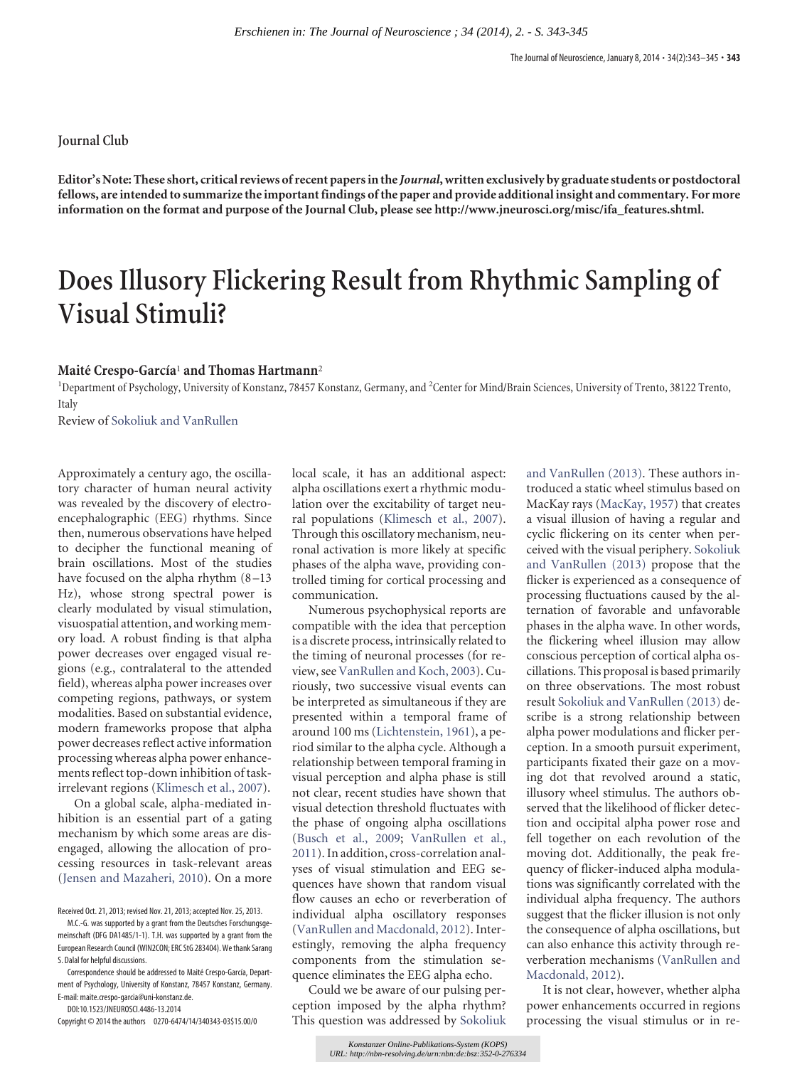## **Journal Club**

**Editor's Note: These short, critical reviews of recent papers in the** *Journal***, written exclusively by graduate students or postdoctoral fellows, are intended to summarize the important findings of the paper and provide additional insight and commentary. For more information on the format and purpose of the Journal Club, please see [http://www.jneurosci.org/misc/ifa\\_features.shtml.](http://www.jneurosci.org/misc/ifa_features.shtml)**

## **Does Illusory Flickering Result from Rhythmic Sampling of Visual Stimuli?**

## **Maite´ Crespo-García**<sup>1</sup> **and Thomas Hartmann**<sup>2</sup>

<sup>1</sup>Department of Psychology, University of Konstanz, 78457 Konstanz, Germany, and <sup>2</sup>Center for Mind/Brain Sciences, University of Trento, 38122 Trento, Italy

Review of [Sokoliuk and VanRullen](http://www.jneurosci.org/content/33/33/13498.full)

Approximately a century ago, the oscillatory character of human neural activity was revealed by the discovery of electroencephalographic (EEG) rhythms. Since then, numerous observations have helped to decipher the functional meaning of brain oscillations. Most of the studies have focused on the alpha rhythm  $(8-13)$ Hz), whose strong spectral power is clearly modulated by visual stimulation, visuospatial attention, and working memory load. A robust finding is that alpha power decreases over engaged visual regions (e.g., contralateral to the attended field), whereas alpha power increases over competing regions, pathways, or system modalities. Based on substantial evidence, modern frameworks propose that alpha power decreases reflect active information processing whereas alpha power enhancements reflect top-down inhibition of taskirrelevant regions [\(Klimesch et al., 2007\)](#page-2-0).

On a global scale, alpha-mediated inhibition is an essential part of a gating mechanism by which some areas are disengaged, allowing the allocation of processing resources in task-relevant areas [\(Jensen and Mazaheri, 2010\)](#page-2-1). On a more

Correspondence should be addressed to Maité Crespo-García, Department of Psychology, University of Konstanz, 78457 Konstanz, Germany. E-mail: maite.crespo-garcia@uni-konstanz.de.

DOI:10.1523/JNEUROSCI.4486-13.2014 Copyright © 2014 the authors 0270-6474/14/340343-03\$15.00/0 local scale, it has an additional aspect: alpha oscillations exert a rhythmic modulation over the excitability of target neural populations [\(Klimesch et al., 2007\)](#page-2-0). Through this oscillatory mechanism, neuronal activation is more likely at specific phases of the alpha wave, providing controlled timing for cortical processing and communication.

Numerous psychophysical reports are compatible with the idea that perception is a discrete process, intrinsically related to the timing of neuronal processes (for review, see [VanRullen and Koch, 2003\)](#page-2-2). Curiously, two successive visual events can be interpreted as simultaneous if they are presented within a temporal frame of around 100 ms [\(Lichtenstein, 1961\)](#page-2-3), a period similar to the alpha cycle. Although a relationship between temporal framing in visual perception and alpha phase is still not clear, recent studies have shown that visual detection threshold fluctuates with the phase of ongoing alpha oscillations [\(Busch et al., 2009;](#page-1-0) [VanRullen et al.,](#page-2-4) [2011\)](#page-2-4). In addition, cross-correlation analyses of visual stimulation and EEG sequences have shown that random visual flow causes an echo or reverberation of individual alpha oscillatory responses [\(VanRullen and Macdonald, 2012\)](#page-2-5). Interestingly, removing the alpha frequency components from the stimulation sequence eliminates the EEG alpha echo. *Erschiemen in: The Journal of Wearnscience ; 34 (2014), 2. - S. 343-345*<br> **Erstings.org free the important finding of the paper and provide additional insight<br>propose of the Journal Club, plases see http://www.yineursoc.c** 

Could we be aware of our pulsing perception imposed by the alpha rhythm? This question was addressed by [Sokoliuk](#page-2-6) [and VanRullen \(2013\).](#page-2-6) These authors introduced a static wheel stimulus based on MacKay rays [\(MacKay, 1957\)](#page-2-7) that creates a visual illusion of having a regular and cyclic flickering on its center when perceived with the visual periphery. [Sokoliuk](#page-2-6) [and VanRullen \(2013\)](#page-2-6) propose that the flicker is experienced as a consequence of processing fluctuations caused by the alternation of favorable and unfavorable phases in the alpha wave. In other words, the flickering wheel illusion may allow conscious perception of cortical alpha oscillations. This proposal is based primarily on three observations. The most robust result [Sokoliuk and VanRullen \(2013\)](#page-2-6) describe is a strong relationship between alpha power modulations and flicker perception. In a smooth pursuit experiment, participants fixated their gaze on a moving dot that revolved around a static, illusory wheel stimulus. The authors observed that the likelihood of flicker detection and occipital alpha power rose and fell together on each revolution of the moving dot. Additionally, the peak frequency of flicker-induced alpha modulations was significantly correlated with the individual alpha frequency. The authors suggest that the flicker illusion is not only the consequence of alpha oscillations, but can also enhance this activity through reverberation mechanisms [\(VanRullen and](#page-2-5) [Macdonald, 2012\)](#page-2-5).

It is not clear, however, whether alpha power enhancements occurred in regions processing the visual stimulus or in re-

Received Oct. 21, 2013; revised Nov. 21, 2013; accepted Nov. 25, 2013.

M.C.-G. was supported by a grant from the Deutsches Forschungsgemeinschaft (DFG DA1485/1-1). T.H. was supported by a grant from the European Research Council (WIN2CON; ERC StG 283404). We thank Sarang S. Dalal for helpful discussions.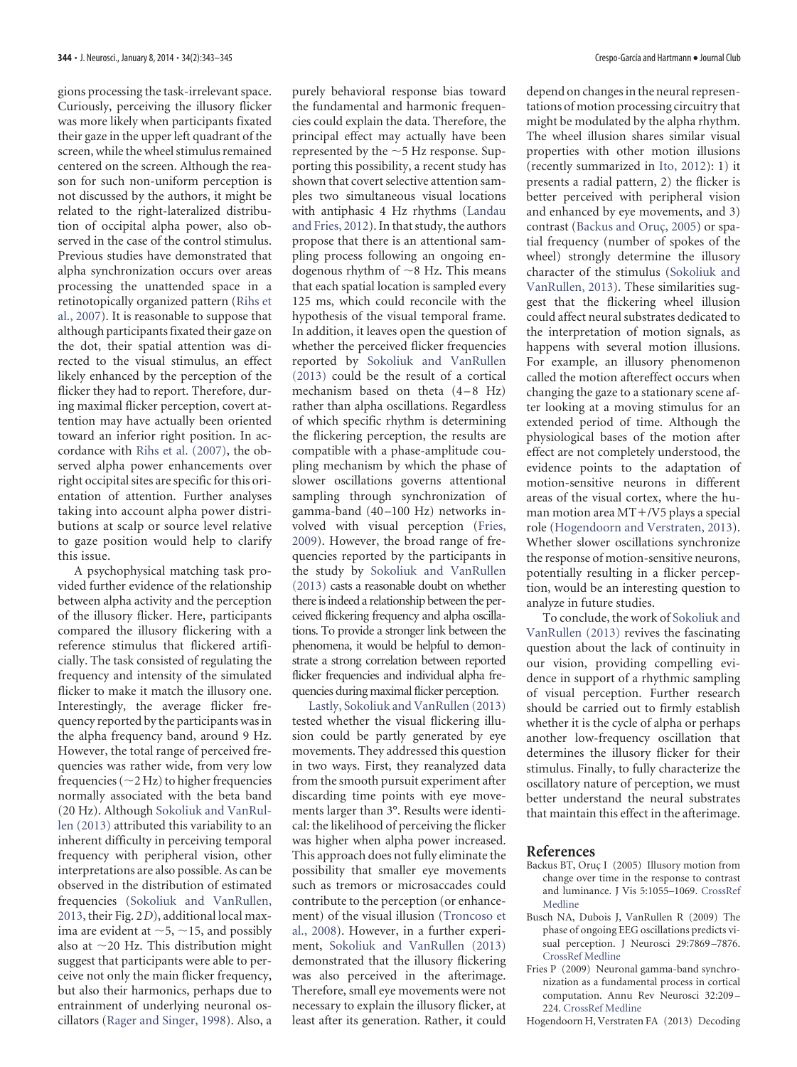gions processing the task-irrelevant space. Curiously, perceiving the illusory flicker was more likely when participants fixated their gaze in the upper left quadrant of the screen, while the wheel stimulus remained centered on the screen. Although the reason for such non-uniform perception is not discussed by the authors, it might be related to the right-lateralized distribution of occipital alpha power, also observed in the case of the control stimulus. Previous studies have demonstrated that alpha synchronization occurs over areas processing the unattended space in a retinotopically organized pattern [\(Rihs et](#page-2-8) [al., 2007\)](#page-2-8). It is reasonable to suppose that although participants fixated their gaze on the dot, their spatial attention was directed to the visual stimulus, an effect likely enhanced by the perception of the flicker they had to report. Therefore, during maximal flicker perception, covert attention may have actually been oriented toward an inferior right position. In accordance with [Rihs et al. \(2007\),](#page-2-8) the observed alpha power enhancements over right occipital sites are specific for this orientation of attention. Further analyses taking into account alpha power distributions at scalp or source level relative to gaze position would help to clarify this issue.

A psychophysical matching task provided further evidence of the relationship between alpha activity and the perception of the illusory flicker. Here, participants compared the illusory flickering with a reference stimulus that flickered artificially. The task consisted of regulating the frequency and intensity of the simulated flicker to make it match the illusory one. Interestingly, the average flicker frequency reported by the participants was in the alpha frequency band, around 9 Hz. However, the total range of perceived frequencies was rather wide, from very low frequencies ( $\sim$ 2 Hz) to higher frequencies normally associated with the beta band (20 Hz). Although [Sokoliuk and VanRul](#page-2-6)[len \(2013\)](#page-2-6) attributed this variability to an inherent difficulty in perceiving temporal frequency with peripheral vision, other interpretations are also possible. As can be observed in the distribution of estimated frequencies [\(Sokoliuk and VanRullen,](#page-2-6) [2013,](#page-2-6) their Fig. 2*D*), additional local maxima are evident at  ${\sim}5, {\sim}15,$  and possibly also at  $\sim$ 20 Hz. This distribution might suggest that participants were able to perceive not only the main flicker frequency, but also their harmonics, perhaps due to entrainment of underlying neuronal oscillators [\(Rager and Singer, 1998\)](#page-2-9). Also, a

purely behavioral response bias toward the fundamental and harmonic frequencies could explain the data. Therefore, the principal effect may actually have been represented by the  $\sim$ 5 Hz response. Supporting this possibility, a recent study has shown that covert selective attention samples two simultaneous visual locations with antiphasic 4 Hz rhythms [\(Landau](#page-2-10) [and Fries, 2012\)](#page-2-10). In that study, the authors propose that there is an attentional sampling process following an ongoing endogenous rhythm of  $\sim$ 8 Hz. This means that each spatial location is sampled every 125 ms, which could reconcile with the hypothesis of the visual temporal frame. In addition, it leaves open the question of whether the perceived flicker frequencies reported by [Sokoliuk and VanRullen](#page-2-6) [\(2013\)](#page-2-6) could be the result of a cortical mechanism based on theta  $(4-8$  Hz) rather than alpha oscillations. Regardless of which specific rhythm is determining the flickering perception, the results are compatible with a phase-amplitude coupling mechanism by which the phase of slower oscillations governs attentional sampling through synchronization of gamma-band (40 –100 Hz) networks involved with visual perception [\(Fries,](#page-1-1) [2009\)](#page-1-1). However, the broad range of frequencies reported by the participants in the study by [Sokoliuk and VanRullen](#page-2-6) [\(2013\)](#page-2-6) casts a reasonable doubt on whether there is indeed a relationship between the perceived flickering frequency and alpha oscillations. To provide a stronger link between the phenomena, it would be helpful to demonstrate a strong correlation between reported flicker frequencies and individual alpha frequencies during maximal flicker perception.

[Lastly, Sokoliuk and VanRullen \(2013\)](#page-2-6) tested whether the visual flickering illusion could be partly generated by eye movements. They addressed this question in two ways. First, they reanalyzed data from the smooth pursuit experiment after discarding time points with eye movements larger than 3°. Results were identical: the likelihood of perceiving the flicker was higher when alpha power increased. This approach does not fully eliminate the possibility that smaller eye movements such as tremors or microsaccades could contribute to the perception (or enhancement) of the visual illusion [\(Troncoso et](#page-2-11) [al., 2008\)](#page-2-11). However, in a further experiment, [Sokoliuk and VanRullen \(2013\)](#page-2-6) demonstrated that the illusory flickering was also perceived in the afterimage. Therefore, small eye movements were not necessary to explain the illusory flicker, at least after its generation. Rather, it could

depend on changes in the neural representations of motion processing circuitry that might be modulated by the alpha rhythm. The wheel illusion shares similar visual properties with other motion illusions (recently summarized in [Ito, 2012\)](#page-2-12): 1) it presents a radial pattern, 2) the flicker is better perceived with peripheral vision and enhanced by eye movements, and 3) contrast (Backus and Oruç, 2005) or spatial frequency (number of spokes of the wheel) strongly determine the illusory character of the stimulus [\(Sokoliuk and](#page-2-6) [VanRullen, 2013\)](#page-2-6). These similarities suggest that the flickering wheel illusion could affect neural substrates dedicated to the interpretation of motion signals, as happens with several motion illusions. For example, an illusory phenomenon called the motion aftereffect occurs when changing the gaze to a stationary scene after looking at a moving stimulus for an extended period of time. Although the physiological bases of the motion after effect are not completely understood, the evidence points to the adaptation of motion-sensitive neurons in different areas of the visual cortex, where the human motion area  $MT+/V5$  plays a special role [\(Hogendoorn and Verstraten, 2013\)](#page-1-3). Whether slower oscillations synchronize the response of motion-sensitive neurons, potentially resulting in a flicker perception, would be an interesting question to analyze in future studies.

To conclude, the work of [Sokoliuk and](#page-2-6) [VanRullen \(2013\)](#page-2-6) revives the fascinating question about the lack of continuity in our vision, providing compelling evidence in support of a rhythmic sampling of visual perception. Further research should be carried out to firmly establish whether it is the cycle of alpha or perhaps another low-frequency oscillation that determines the illusory flicker for their stimulus. Finally, to fully characterize the oscillatory nature of perception, we must better understand the neural substrates that maintain this effect in the afterimage.

## <span id="page-1-2"></span>**References**

- Backus BT, Oruç I (2005) Illusory motion from change over time in the response to contrast and luminance. J Vis 5:1055–1069. [CrossRef](http://dx.doi.org/10.1167/5.8.1055) [Medline](http://www.ncbi.nlm.nih.gov/pubmed/16441202)
- <span id="page-1-0"></span>Busch NA, Dubois J, VanRullen R (2009) The phase of ongoing EEG oscillations predicts visual perception. J Neurosci 29:7869 –7876. [CrossRef](http://dx.doi.org/10.1523/JNEUROSCI.0113-09.2009) [Medline](http://www.ncbi.nlm.nih.gov/pubmed/19535598)
- <span id="page-1-1"></span>Fries P (2009) Neuronal gamma-band synchronization as a fundamental process in cortical computation. Annu Rev Neurosci 32:209 – 224. [CrossRef](http://dx.doi.org/10.1146/annurev.neuro.051508.135603) [Medline](http://www.ncbi.nlm.nih.gov/pubmed/19400723)

<span id="page-1-3"></span>Hogendoorn H, Verstraten FA (2013) Decoding